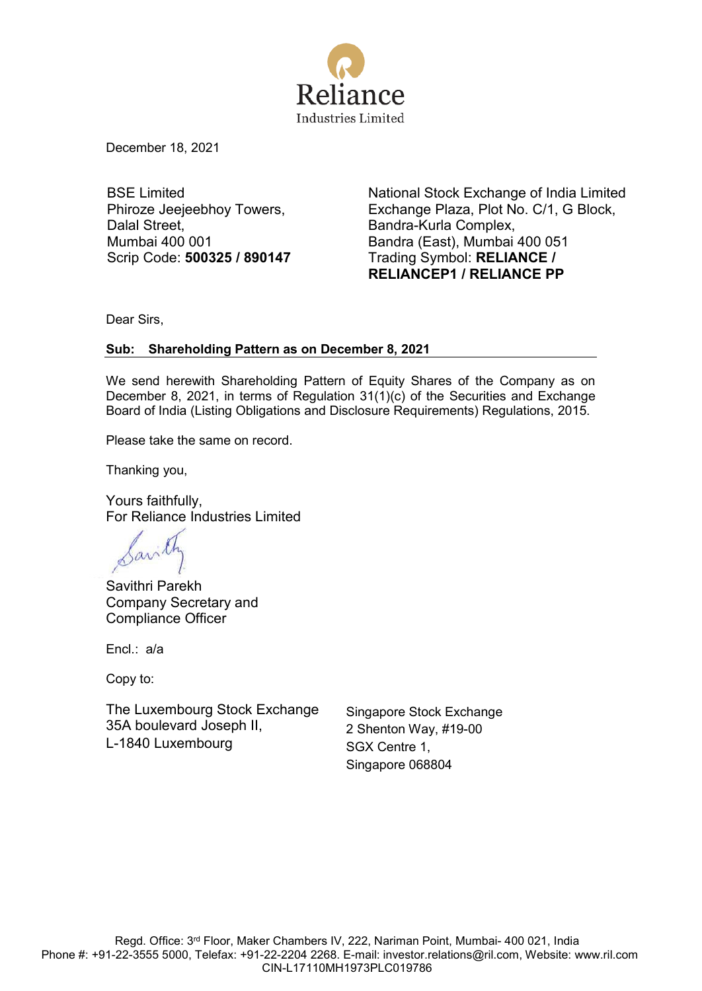

December 18, 2021

BSE Limited Phiroze Jeejeebhoy Towers, Dalal Street, Mumbai 400 001 Scrip Code: **500325 / 890147** National Stock Exchange of India Limited Exchange Plaza, Plot No. C/1, G Block, Bandra-Kurla Complex, Bandra (East), Mumbai 400 051 Trading Symbol: **RELIANCE / RELIANCEP1 / RELIANCE PP**

Dear Sirs,

# **Sub: Shareholding Pattern as on December 8, 2021**

We send herewith Shareholding Pattern of Equity Shares of the Company as on December 8, 2021, in terms of Regulation 31(1)(c) of the Securities and Exchange Board of India (Listing Obligations and Disclosure Requirements) Regulations, 2015.

Please take the same on record.

Thanking you,

Yours faithfully, For Reliance Industries Limited

Savithri Parekh Company Secretary and Compliance Officer

Encl.: a/a

Copy to:

The Luxembourg Stock Exchange 35A boulevard Joseph II, L-1840 Luxembourg

Singapore Stock Exchange 2 Shenton Way, #19-00 SGX Centre 1, Singapore 068804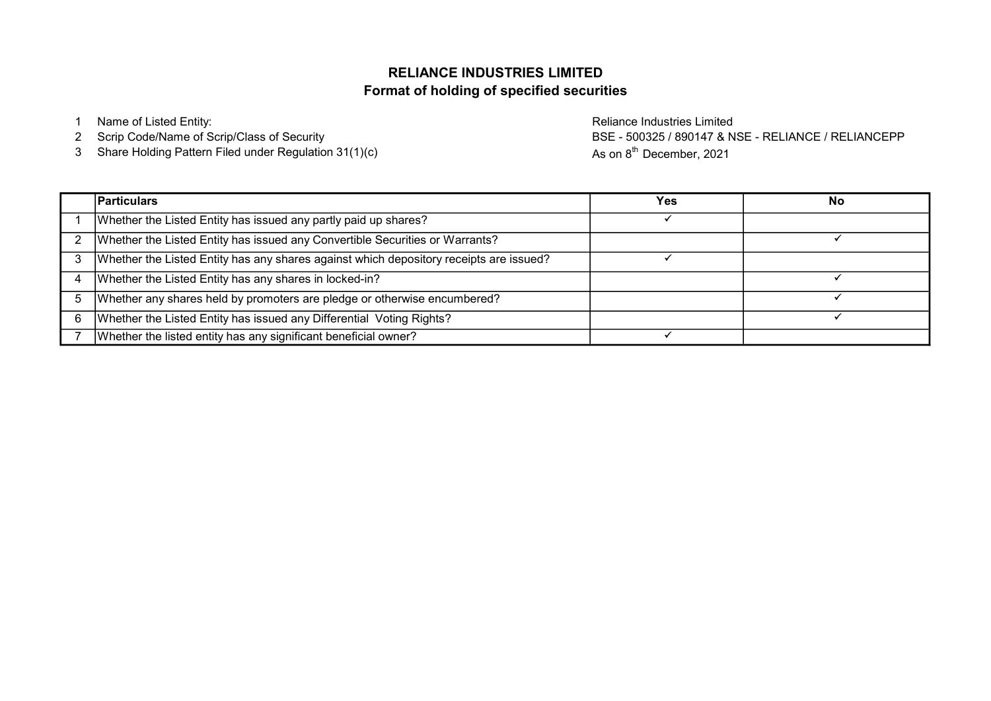# Format of holding of specified securities RELIANCE INDUSTRIES LIMITED

1 Name of Listed Entity: Reliance Industries Limited

- 2 Scrip Code/Name of Scrip/Class of Security
- 3 Share Holding Pattern Filed under Regulation 31(1)(c)

BSE - 500325 / 890147 & NSE - RELIANCE / RELIANCEPP As on 8<sup>th</sup> December, 2021

|   | <b>Particulars</b>                                                                     | Yes | No |
|---|----------------------------------------------------------------------------------------|-----|----|
|   | Whether the Listed Entity has issued any partly paid up shares?                        |     |    |
|   | Whether the Listed Entity has issued any Convertible Securities or Warrants?           |     |    |
| 3 | Whether the Listed Entity has any shares against which depository receipts are issued? |     |    |
|   | Whether the Listed Entity has any shares in locked-in?                                 |     |    |
|   | Whether any shares held by promoters are pledge or otherwise encumbered?               |     |    |
|   | Whether the Listed Entity has issued any Differential Voting Rights?                   |     |    |
|   | Whether the listed entity has any significant beneficial owner?                        |     |    |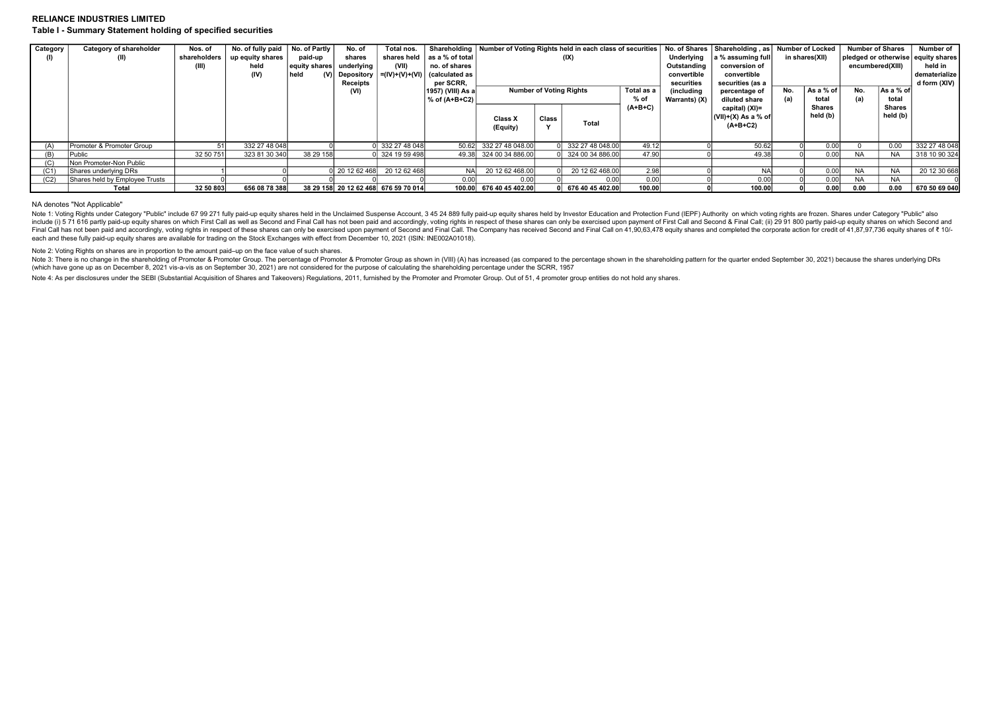## RELIANCE INDUSTRIES LIMITED Table I - Summary Statement holding of specified securities

| Category | Category of shareholder        | Nos. of      | No. of fully paid | No. of Partly | No. of         | Total nos.                           |                                             | Shareholding   Number of Voting Rights held in each class of securities |       |                    |            |               | No. of Shares   Shareholding, as |                | Number of Locked | <b>Number of Shares</b>            |               | Number of     |
|----------|--------------------------------|--------------|-------------------|---------------|----------------|--------------------------------------|---------------------------------------------|-------------------------------------------------------------------------|-------|--------------------|------------|---------------|----------------------------------|----------------|------------------|------------------------------------|---------------|---------------|
|          | (II)                           | shareholders | up equity shares  | paid-up       | shares         |                                      | shares held as a % of total                 |                                                                         |       | (IX)               |            | Underlying    | a % assuming full                | in shares(XII) |                  | pledged or otherwise equity shares |               |               |
|          |                                | (III)        | held              | equity shares | underlving     | (VII)                                | no. of shares                               |                                                                         |       |                    |            | Outstanding   | conversion of                    |                |                  | encumbered(XIII)                   |               | held in       |
|          |                                |              | (IV)              | held          |                |                                      | Depository $= (IV)+(V)+(VI)$ (calculated as |                                                                         |       |                    |            | convertible   | convertible                      |                |                  |                                    |               | dematerialize |
|          |                                |              |                   |               | Receipts       |                                      | per SCRR,                                   |                                                                         |       |                    |            | securities    | securities (as a                 |                |                  |                                    |               | d form (XIV)  |
|          |                                |              |                   |               | (VI)           |                                      | 1957) (VIII) As a                           | <b>Number of Voting Rights</b><br>Total as a                            |       |                    | (including | percentage of | No.                              | As a % of      | No.              | As a % of                          |               |               |
|          |                                |              |                   |               |                |                                      | $%$ of (A+B+C2)                             |                                                                         |       |                    | % of       | Warrants) (X) | diluted share                    | (a)            | total            | (a)                                | total         |               |
|          |                                |              |                   |               |                |                                      |                                             |                                                                         |       |                    | $(A+B+C)$  |               | capital) (XI)=                   |                | <b>Shares</b>    |                                    | <b>Shares</b> |               |
|          |                                |              |                   |               |                |                                      |                                             | <b>Class X</b>                                                          | Class |                    |            |               | (VII)+(X) As a % of              |                | held (b)         |                                    | held (b)      |               |
|          |                                |              |                   |               |                |                                      |                                             | (Equity)                                                                |       | Total              |            |               | $(A+B+C2)$                       |                |                  |                                    |               |               |
|          |                                |              |                   |               |                |                                      |                                             |                                                                         |       |                    |            |               |                                  |                |                  |                                    |               |               |
| (A)      | Promoter & Promoter Group      |              | 332 27 48 048     |               |                | 332 27 48 048                        |                                             | 50.62 332 27 48 048.00                                                  |       | 0 332 27 48 048.00 | 49.12      |               | 50.62                            |                | 0.00             |                                    | 0.00          | 3322748048    |
| (B)      | Public                         | 32 50 751    | 323 81 30 340     | 38 29 158     |                | 0l 324 19 59 498l                    |                                             | 49.38 324 00 34 886.00                                                  |       | 0 324 00 34 886,00 | 47.90      |               | 49.38                            |                | 0.00             | <b>NA</b>                          | <b>NA</b>     | 318 10 90 324 |
| (C)      | Non Promoter-Non Public        |              |                   |               |                |                                      |                                             |                                                                         |       |                    |            |               |                                  |                |                  |                                    |               |               |
| (C1)     | Shares underlying DRs          |              |                   |               | 0 20 12 62 468 | 20 12 62 468                         | <b>NAI</b>                                  | 20 12 62 468.00                                                         |       | 20 12 62 468.00    | 2.98       |               |                                  |                | 0.00             | <b>NA</b>                          | <b>NA</b>     | 20 12 30 668  |
| (C2)     | Shares held by Employee Trusts |              |                   |               |                |                                      | 0.00                                        | 0.00                                                                    |       | 0.00               | 0.00       |               | 0.00                             |                | 0.00             | <b>NA</b>                          | <b>NA</b>     |               |
|          | Total                          | 32 50 803    | 656 08 78 388     |               |                | 38 29 158 20 12 62 468 676 59 70 014 | 100.00                                      | 676 40 45 402.00                                                        |       | 0 676 40 45 402.00 | 100.00     |               | 100.00                           |                | 0.00             | 0.00                               | 0.00          | 670 50 69 040 |

#### NA denotes "Not Applicable"

Note 1: Voting Rights under Category "Public" include 67 99 271 fully paid-up equity shares held in the Unclaimed Suspense Account, 3 45 24 889 fully paid-up equity shares held by Investor Education and Protection Fund (IE include (i) 5 71 616 partly paid-up equity shares on which First Call as well as Second and Final Call has not been paid and accordingly, voting rights in respect of these shares can only be exercised upon payment of First Einal Call has not been paid and accordingly, voting rights in respect of these shares can only be exercised upon payment of Second and Final Call. The Company has received Second and Final Call on 41.90.63.478 equity shar each and these fully paid-up equity shares are available for trading on the Stock Exchanges with effect from December 10, 2021 (ISIN: INE002A01018).

Note 2: Voting Rights on shares are in proportion to the amount paid–up on the face value of such shares.

Note 3: There is no change in the shareholding of Promoter & Promoter Group. The percentage of Promoter & Promoter & Promoter & Promoter & Promoter & Promoter & Promoter & Promoter & Promoter & Promoter & Promoter & Promot (which have gone up as on December 8, 2021 vis-a-vis as on September 30, 2021) are not considered for the purpose of calculating the shareholding percentage under the SCRR, 1957

Note 4: As per disclosures under the SEBI (Substantial Acquisition of Shares and Takeovers) Regulations, 2011, furnished by the Promoter and Promoter Group. Out of 51, 4 promoter group entities do not hold any shares.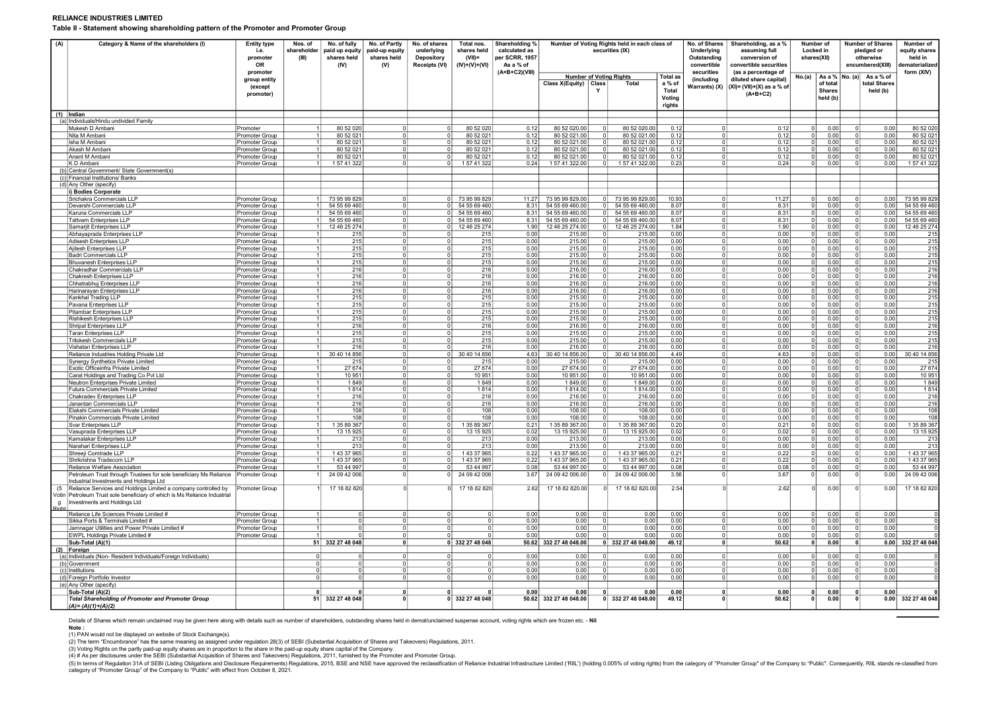#### RELIANCE INDUSTRIES LIMITED

Table II - Statement showing shareholding pattern of the Promoter and Promoter Group

| (A)               | Category & Name of the shareholders (I)                                                                                                                                                                                | <b>Entity type</b><br>i.e.<br>promoter<br><b>OR</b> | Nos. of<br>shareholder<br>(III) | No. of fully<br>paid up equity<br>shares held<br>(IV) | No. of Partly<br>paid-up equity<br>shares held<br>(V) | No. of shares<br>underlying<br>Depository<br>Receipts (VI) | Total nos.<br>shares held<br>$(VIII)$ =<br>$(IV)+(V)+(V)$ | Shareholding %<br>calculated as<br>per SCRR. 1957<br>As a % of |                                |                         | Number of Voting Rights held in each class of<br>securities (IX) |                                                        | No. of Shares<br>Underlying<br>Outstanding<br>convertible | Shareholding, as a %<br>assuming full<br>conversion of<br>convertible securities                         | Number of<br><b>Locked</b> in<br>shares(XII) |                                                         |              | <b>Number of Shares</b><br>pledged or<br>otherwise<br>encumbered(XIII) | Number of<br>equity shares<br>held in<br>lematerialized |
|-------------------|------------------------------------------------------------------------------------------------------------------------------------------------------------------------------------------------------------------------|-----------------------------------------------------|---------------------------------|-------------------------------------------------------|-------------------------------------------------------|------------------------------------------------------------|-----------------------------------------------------------|----------------------------------------------------------------|--------------------------------|-------------------------|------------------------------------------------------------------|--------------------------------------------------------|-----------------------------------------------------------|----------------------------------------------------------------------------------------------------------|----------------------------------------------|---------------------------------------------------------|--------------|------------------------------------------------------------------------|---------------------------------------------------------|
|                   |                                                                                                                                                                                                                        | promoter<br>group entity<br>(except<br>promoter)    |                                 |                                                       |                                                       |                                                            |                                                           | (A+B+C2)(VIII)                                                 | Class X(Equity) Class          |                         | <b>Number of Voting Rights</b><br><b>Total</b>                   | <b>Total as</b><br>a % of<br>Total<br>Voting<br>rights | securities<br>(includina                                  | (as a percentage of<br>diluted share capital)<br>Warrants) (X) $ (X1)=(V11)+(X)$ as a % of<br>$(A+B+C2)$ | No.(a)                                       | As a % No. (a)<br>of total<br><b>Shares</b><br>held (b) |              | As a % of<br>total Shares<br>held (b)                                  | form (XIV)                                              |
|                   | $(1)$  Indian<br>(a) Individuals/Hindu undivided Family                                                                                                                                                                |                                                     |                                 |                                                       |                                                       |                                                            |                                                           |                                                                |                                |                         |                                                                  |                                                        |                                                           |                                                                                                          |                                              |                                                         |              |                                                                        |                                                         |
|                   | Mukesh D Ambani                                                                                                                                                                                                        | Promoter                                            |                                 | 80 52 020                                             | $\Omega$                                              | $\Omega$                                                   | 80 52 020                                                 | 0.12                                                           | 80 52 020.00                   | $^{\circ}$              | 80 52 020.00                                                     | 0.12                                                   | $\Omega$                                                  | 0.12                                                                                                     | $\Omega$                                     | 0.00                                                    | $\Omega$     | 0.00                                                                   | 80 52 020                                               |
|                   | Nita M Amhani                                                                                                                                                                                                          | Promoter Group                                      | 11                              | 80 52 021                                             | 0 I                                                   | 0                                                          | 80 52 021                                                 | 0.12                                                           | 80 52 021.00                   | $\overline{\mathbf{0}}$ | 80 52 021.00                                                     | 0.12                                                   | $\overline{0}$                                            | 0.12                                                                                                     | - 0                                          | 0.00                                                    | $\mathbf{0}$ | 0.00                                                                   | 80 52 021                                               |
|                   | Isha M Ambani                                                                                                                                                                                                          | romoter Group                                       |                                 | 80 52 021                                             | $\Omega$                                              | $\Omega$                                                   | 80 52 02                                                  | 0.12                                                           | 80 52 021.00                   | $\mathbf 0$             | 80 52 021.00                                                     | 0.12                                                   | $\overline{0}$                                            | 0.12                                                                                                     | $\Omega$                                     | 0.00                                                    |              | 0.00                                                                   | 80 52 02                                                |
|                   | Akash M Amban<br>Anant M Ambani                                                                                                                                                                                        | romoter Group                                       | 1                               | 80 52 021<br>80 52 021                                | $\Omega$<br>$\Omega$                                  | $\Omega$<br>$\Omega$                                       | 80 52 02<br>80 52 021                                     | 0.12<br>0.12                                                   | 80 52 021.00<br>80 52 021.00   | $\mathbf 0$<br> 0       | 80 52 021.00<br>80 52 021.00                                     | 0.12<br>0.12                                           | 0 <br> 0                                                  | 0.12<br>0.12                                                                                             | $\overline{0}$<br>$\Omega$                   | 0.00<br>0.00                                            | $\Omega$     | 0.00<br>0.00                                                           | 80 52 021<br>80 52 021                                  |
|                   | K D Ambani                                                                                                                                                                                                             | Promoter Group<br>Promoter Group                    |                                 | 1 57 41 322                                           | $\Omega$                                              | $\Omega$                                                   | 15741322                                                  | 0.24                                                           | 1 57 41 322.00                 | $\Omega$                | 157 41 322.00                                                    | 0.23                                                   | $\Omega$                                                  | 0.24                                                                                                     |                                              | 0.00                                                    |              | 0.00                                                                   | 1 57 41 322                                             |
|                   | (b) Central Government/ State Government(s)                                                                                                                                                                            |                                                     |                                 |                                                       |                                                       |                                                            |                                                           |                                                                |                                |                         |                                                                  |                                                        |                                                           |                                                                                                          |                                              |                                                         |              |                                                                        |                                                         |
|                   | (c) Financial Institutions/ Banks                                                                                                                                                                                      |                                                     |                                 |                                                       |                                                       |                                                            |                                                           |                                                                |                                |                         |                                                                  |                                                        |                                                           |                                                                                                          |                                              |                                                         |              |                                                                        |                                                         |
|                   | (d) Any Other (specify)<br><b>Bodies Corporate</b>                                                                                                                                                                     |                                                     |                                 |                                                       |                                                       |                                                            |                                                           |                                                                |                                |                         |                                                                  |                                                        |                                                           |                                                                                                          |                                              |                                                         |              |                                                                        |                                                         |
|                   | Srichakra Commercials LLP                                                                                                                                                                                              | Promoter Group                                      |                                 | 73 95 99 829                                          | $\overline{0}$                                        | $\overline{0}$                                             | 73 95 99 829                                              | 11.27                                                          | 73 95 99 829.00                | $\overline{0}$          | 73 95 99 829.00                                                  | 10.93                                                  | $\overline{0}$                                            | 11.27                                                                                                    | $\Omega$                                     | 0.00                                                    | $\Omega$     | 0.00                                                                   | 73 95 99 82                                             |
|                   | Devarshi Commercials LLP                                                                                                                                                                                               | Promoter Group                                      |                                 | 54 55 69 460                                          | 0                                                     | $\circ$                                                    | 54 55 69 460                                              | 8.31                                                           | 54 55 69 460.00                | $\circ$                 | 54 55 69 460.00                                                  | 8.07                                                   | 0                                                         | 8.31                                                                                                     | $\Omega$                                     | 0.00                                                    | $\Omega$     | 0.00                                                                   | 54 55 69 460                                            |
|                   | Karuna Commercials LLP                                                                                                                                                                                                 | Promoter Group                                      |                                 | 54 55 69 460                                          | 0                                                     | $\Omega$                                                   | 54 55 69 460                                              | 8.31                                                           | 54 55 69 460.00                | $\circ$                 | 54 55 69 460.00                                                  | 8.07                                                   | $\Omega$                                                  | 8.31                                                                                                     |                                              | 0.00                                                    |              | 0.00                                                                   | 54 55 69 460                                            |
|                   | <b>Tattvam Enterprises LLP</b>                                                                                                                                                                                         | Promoter Group                                      |                                 | 54 55 69 460                                          | $\Omega$                                              |                                                            | 0 54 55 69 460                                            | 8.31                                                           | 54 55 69 460.00                | - 0 1                   | 54 55 69 460.00                                                  | 8.07                                                   | 0                                                         | 8.31                                                                                                     |                                              | 0.00                                                    |              | 0.00                                                                   | 54 55 69 460                                            |
|                   | Samarjit Enterprises LLP<br>Abhayaprada Enterprises LLP                                                                                                                                                                | Promoter Group<br>Promoter Group                    |                                 | 12 46 25 274<br>215                                   | $\Omega$<br>$\Omega$                                  | 0                                                          | 12 46 25 274<br>215                                       | 1.90<br>0.00                                                   | 12 46 25 274.00<br>215.00      | $\circ$<br>$\mathbf 0$  | 12 46 25 274.00<br>215.00                                        | 1.84<br>0.00                                           | $\overline{0}$<br>$\overline{0}$                          | 1.90<br>0.00                                                                                             |                                              | 0.00<br>0.00                                            |              | 0.00<br>0.00                                                           | 12 46 25 274<br>215                                     |
|                   | Adisesh Enterprises LLP                                                                                                                                                                                                | Promoter Group                                      |                                 | 215                                                   | 0                                                     | $\Omega$                                                   | 215                                                       | 0.00                                                           | 215.00                         | $\Omega$                | 215.00                                                           | 0.00                                                   | 0                                                         | 0.00                                                                                                     | $\Omega$                                     | 0.00                                                    |              | 0.00                                                                   | 215                                                     |
|                   | Ajitesh Enterprises LLP                                                                                                                                                                                                | Promoter Group                                      |                                 | 215                                                   | $\Omega$                                              | $\Omega$                                                   | 215                                                       | 0.00                                                           | 215.00                         | $\Omega$                | 215.00                                                           | 0.00                                                   | $\Omega$                                                  | 0.00                                                                                                     | $\sqrt{ }$                                   | 0.00                                                    | $\Omega$     | 0.00                                                                   | 215                                                     |
|                   | Badri Commercials LLP                                                                                                                                                                                                  | Promoter Group                                      |                                 | 215                                                   | $\Omega$                                              | $\Omega$                                                   | 215                                                       | 0.00                                                           | 215.00                         |                         | 215.00                                                           | 0.00                                                   | $\Omega$                                                  | 0.00                                                                                                     |                                              | 0.00                                                    |              | 0.00                                                                   | 215                                                     |
|                   | <b>Bhuvanesh Enterprises LLP</b><br>Chakradhar Commercials LLP                                                                                                                                                         | Promoter Group<br>Promoter Group                    |                                 | 215<br>216                                            | $\Omega$<br>$\mathbf{0}$                              | $\Omega$<br>0                                              | 215<br>216                                                | 0.00<br>0.00                                                   | 215.00<br>216.00               | $\overline{0}$<br>0     | 215.00<br>216.00                                                 | 0.00<br>0.00                                           | 0 <br>$\overline{0}$                                      | 0.00<br>0.00                                                                                             |                                              | 0.00<br>0.00                                            |              | 0.00<br>0.00                                                           | 215<br>216                                              |
|                   | Chakresh Enterprises LLP                                                                                                                                                                                               | Promoter Group                                      |                                 | 216                                                   | $\mathbf 0$                                           | $\mathbf 0$                                                | 216                                                       | 0.00                                                           | 216.00                         | $\mathbf 0$             | 216.00                                                           | 0.00                                                   | $\overline{0}$                                            | 0.00                                                                                                     |                                              | 0.00                                                    |              | 0.00                                                                   | 216                                                     |
|                   | Chhatrabhuj Enterprises LLP                                                                                                                                                                                            | Promoter Group                                      |                                 | 216                                                   | 0                                                     | $\Omega$                                                   | 216                                                       | 0.00                                                           | 216.00                         | $\Omega$                | 216.00                                                           | 0.00                                                   | 0                                                         | 0.00                                                                                                     | $\Omega$                                     | 0.00                                                    |              | 0.00                                                                   | 216                                                     |
|                   | Harinarayan Enterprises LLP                                                                                                                                                                                            | Promoter Group                                      |                                 | 216                                                   | $\Omega$                                              | $\Omega$                                                   | 216                                                       | 0.00                                                           | 216.00                         | $\Omega$                | 216.00                                                           | 0.00                                                   | $\Omega$                                                  | 0.00                                                                                                     |                                              | 0.00                                                    |              | 0.00                                                                   | 216                                                     |
|                   | Kankhal Trading LLP<br>Pavana Enterprises LLP                                                                                                                                                                          | Promoter Group<br>Promoter Group                    |                                 | 215<br>215                                            | $\Omega$<br>0                                         | $\Omega$<br>$\overline{0}$                                 | 215<br>215                                                | 0.00<br>0.00                                                   | 215.00<br>215.00               | $\mathbf 0$             | 215.00<br>215.00                                                 | 0.00<br>0.00                                           | $\Omega$<br> 0                                            | 0.00<br>0.00                                                                                             |                                              | 0.00<br>0.00                                            |              | 0.00<br>0.00                                                           | 215<br>215                                              |
|                   | Pitambar Enterprises LLP                                                                                                                                                                                               | Promoter Group                                      |                                 | 215                                                   | $\Omega$                                              | $\overline{0}$                                             | 215                                                       | 0.00                                                           | 215.00                         | $^{\circ}$              | 215.00                                                           | 0.00                                                   | 0                                                         | 0.00                                                                                                     |                                              | 0.00                                                    |              | 0.00                                                                   | 215                                                     |
|                   | Rishikesh Enterprises LLP                                                                                                                                                                                              | Promoter Group                                      |                                 | 215                                                   | $\mathbf 0$                                           | 0                                                          | 215                                                       | 0.00                                                           | 215.00                         | 0                       | 215.00                                                           | 0.00                                                   | $\overline{0}$                                            | 0.00                                                                                                     |                                              | 0.00                                                    |              | 0.00                                                                   | 215                                                     |
|                   | Shripal Enterprises LLP                                                                                                                                                                                                | Promoter Group                                      |                                 | 216                                                   | $\Omega$                                              | $\Omega$                                                   | 216                                                       | 0.00                                                           | 216.00                         | $\Omega$                | 216.00                                                           | 0.00                                                   | 0                                                         | 0.00                                                                                                     |                                              | 0.00                                                    |              | 0.00                                                                   | 216                                                     |
|                   | Taran Enterprises LLP<br>Trilokesh Commercials LLF                                                                                                                                                                     | Promoter Group                                      |                                 | 215<br>215                                            | $\Omega$<br>$\Omega$                                  | $\Omega$<br>$\Omega$                                       | 215<br>215                                                | 0.00<br>0.00                                                   | 215.00<br>215.00               | $\Omega$                | 215.00<br>215.00                                                 | 0.00<br>0.00                                           | 0 <br>$\Omega$                                            | 0.00<br>0.00                                                                                             | $\sqrt{ }$                                   | 0.00<br>0.00                                            | $\Omega$     | 0.00<br>0.00                                                           | 215<br>215                                              |
|                   | Vishatan Enterprises LLP                                                                                                                                                                                               | Promoter Group<br>Promoter Group                    |                                 | 216                                                   | 0                                                     | $\overline{0}$                                             | 216                                                       | 0.00                                                           | 216.00                         | $\mathbf 0$             | 216.00                                                           | 0.00                                                   | 0                                                         | 0.00                                                                                                     |                                              | 0.00                                                    |              | 0.00                                                                   | 216                                                     |
|                   | Reliance Industries Holding Private Ltd                                                                                                                                                                                | Promoter Group                                      | 1 <sup>1</sup>                  | 30 40 14 856                                          | $^{\circ}$                                            | $\overline{\mathbf{0}}$                                    | 30 40 14 856                                              | 4.63                                                           | 30 40 14 856.00                | $\overline{\mathbf{0}}$ | 30 40 14 856.00                                                  | 4.49                                                   | $\overline{0}$                                            | 4.63                                                                                                     |                                              | 0.00                                                    | $^{\circ}$   | 0.00                                                                   | 30 40 14 856                                            |
|                   | Synergy Synthetics Private Limited                                                                                                                                                                                     | Promoter Group                                      |                                 | 215                                                   | $\mathbf 0$                                           | 0                                                          | 215                                                       | 0.00                                                           | 215.00                         |                         | 215.00                                                           | 0.00                                                   | $\overline{0}$                                            | 0.00                                                                                                     |                                              | 0.00                                                    |              | 0.00                                                                   | 215                                                     |
|                   | Exotic Officeinfra Private Limited<br>Carat Holdings and Trading Co Pvt Ltd                                                                                                                                            | Promoter Group                                      | $\overline{1}$                  | 27 674<br>10 951                                      | 0 <br>nl                                              | $\overline{0}$<br>$\Omega$                                 | 27 674<br>10 951                                          | 0.00<br>0.00                                                   | 27 674.00<br>10 951.00         | $\Omega$<br>$\Omega$    | 27 674.00<br>10 951.00                                           | 0.00<br>0.00                                           | 0 <br> 0                                                  | 0.00<br>0.00                                                                                             | $\Omega$                                     | 0.00<br>0.00                                            |              | 0.00<br>0.00                                                           | 27 674<br>10 951                                        |
|                   | Neutron Enterprises Private Limited                                                                                                                                                                                    | Promoter Group<br>Promoter Group                    |                                 | 1849                                                  | ΩI                                                    | $\Omega$                                                   | 1849                                                      | 0.00                                                           | 1849.00                        | $\Omega$                | 1849.00                                                          | 0.00                                                   | $\overline{0}$                                            | 0.00                                                                                                     |                                              | 0.00                                                    |              | 0.00                                                                   | 1849                                                    |
|                   | Futura Commercials Private Limited                                                                                                                                                                                     | Promoter Group                                      |                                 | 1814                                                  | 0                                                     | $\overline{0}$                                             | 1814                                                      | 0.00                                                           | 1814.00                        | $\overline{0}$          | 1814.00                                                          | 0.00                                                   | 0                                                         | 0.00                                                                                                     |                                              | 0.00                                                    |              | 0.00                                                                   | 1814                                                    |
|                   | Chakradev Enterprises LLP                                                                                                                                                                                              | Promoter Group                                      | $\blacktriangleleft$            | 216                                                   | $\Omega$                                              | $\overline{0}$                                             | 216                                                       | 0.00                                                           | 216.00                         | $\overline{0}$          | 216.00                                                           | 0.00                                                   | $\overline{0}$                                            | 0.00                                                                                                     |                                              | 0.00                                                    | $^{\circ}$   | 0.00                                                                   | 216                                                     |
|                   | Janardan Commercials LLP                                                                                                                                                                                               | Promoter Group                                      |                                 | 216<br>108                                            | $\Omega$<br>$^{\circ}$                                | $\Omega$<br>$\Omega$                                       | 216                                                       | 0.00<br>0.00                                                   | 216.00<br>108.00               | $\Omega$<br>$\mathbf 0$ | 216.00<br>108.00                                                 | 0.00<br>0.00                                           | $\Omega$<br> 0                                            | 0.00<br>0.00                                                                                             |                                              | 0.00<br>0.00                                            |              | 0.00<br>0.00                                                           | 216<br>108                                              |
|                   | Elakshi Commercials Private Limited<br>Pinakin Commercials Private Limited                                                                                                                                             | Promoter Group<br>Promoter Group                    |                                 | 108                                                   | $\Omega$                                              | $\Omega$                                                   | 108<br>108                                                | 0.00                                                           | 108.00                         | $\overline{\mathbf{0}}$ | 108.00                                                           | 0.00                                                   | 0                                                         | 0.00                                                                                                     | $\Omega$                                     | 0.00                                                    | $\Omega$     | 0.00                                                                   | 108                                                     |
|                   | Svar Enterprises LLP                                                                                                                                                                                                   | Promoter Group                                      |                                 | 1 35 89 367                                           | $\Omega$                                              | ΩI                                                         | 1 35 89 367                                               | 0.21                                                           | 1 35 89 367.00                 | $\Omega$                | 1 35 89 367.00                                                   | 0.20                                                   | 0                                                         | 0.21                                                                                                     |                                              | 0.00                                                    |              | 0.00                                                                   | 1 35 89 367                                             |
|                   | Vasuprada Enterprises LLP                                                                                                                                                                                              | Promoter Group                                      |                                 | 13 15 925                                             | 0                                                     | $\overline{0}$                                             | 13 15 925                                                 | 0.02                                                           | 13 15 925.00                   | $\mathbf 0$             | 13 15 925.00                                                     | 0.02                                                   | 0                                                         | 0.02                                                                                                     |                                              | 0.00                                                    |              | 0.00                                                                   | 13 15 925                                               |
|                   | Kamalakar Enterprises LLP<br>Narahari Enterprises LLP                                                                                                                                                                  | Promoter Group                                      |                                 | 213                                                   | 0 <sup>1</sup><br>$\Omega$                            | $\overline{0}$<br>$\Omega$                                 | 213                                                       | 0.00<br>0.00                                                   | 213.00                         | $\overline{0}$          | 213.00<br>213.00                                                 | 0.00<br>0.00                                           | $\overline{0}$<br>$\Omega$                                | 0.00<br>0.00                                                                                             | $\Omega$                                     | 0.00<br>0.00                                            | $^{\circ}$   | 0.00<br>0.00                                                           | 213<br>213                                              |
|                   | Shreeji Comtrade LLP                                                                                                                                                                                                   | Promoter Group<br>Promoter Group                    |                                 | 213<br>1 43 37 965                                    | 0                                                     | 0                                                          | 213<br>1 43 37 965                                        | 0.22                                                           | 213.00<br>1 43 37 965.00       | $\mathbf 0$             | 1 43 37 965.00                                                   | 0.21                                                   | 0                                                         | 0.22                                                                                                     | $\overline{0}$                               | 0.00                                                    |              | 0.00                                                                   | 1 43 37 965                                             |
|                   | Shrikrishna Tradecom LLP                                                                                                                                                                                               | Promoter Group                                      |                                 | 1 43 37 965                                           | $\Omega$                                              | $\overline{0}$                                             | 1 43 37 965                                               | 0.22                                                           | 1 43 37 965.00                 | $\Omega$                | 1 43 37 965.00                                                   | 0.21                                                   | 0                                                         | 0.22                                                                                                     | $\Omega$                                     | 0.00                                                    |              | 0.00                                                                   | 1 43 37 965                                             |
|                   | Reliance Welfare Association                                                                                                                                                                                           | Promoter Group                                      |                                 | 53 44 997                                             | $\Omega$                                              |                                                            | 53 44 997                                                 | 0.08                                                           | 53 44 997.00                   | $\Omega$                | 53 44 997.00                                                     | 0.08                                                   | $\Omega$                                                  | 0.08                                                                                                     |                                              | 0.00                                                    |              | 0.00                                                                   | 53 44 997                                               |
|                   | Petroleum Trust through Trustees for sole beneficiary Ms Reliance                                                                                                                                                      | Promoter Group                                      |                                 | 24 09 42 006                                          |                                                       |                                                            | 24 09 42 006                                              | 3.67                                                           | 24 09 42 006.00                |                         | 24 09 42 006.00                                                  | 3.56                                                   | $\mathbf 0$                                               | 3.67                                                                                                     |                                              | 0.00                                                    |              | 0.00                                                                   | 24 09 42 006                                            |
| (5)<br>g<br>Right | Industrial Investments and Holdings Ltd<br>Reliance Services and Holdings Limited a company controlled by<br>Votin Petroleum Trust sole beneficiary of which is Ms Reliance Industrial<br>Investments and Holdings Ltd | Promoter Group                                      |                                 | 17 18 82 820                                          |                                                       |                                                            | 17 18 82 820                                              | 2.62                                                           | 17 18 82 820.00                | $\Omega$                | 17 18 82 820.00                                                  | 2.54                                                   |                                                           | 2.62                                                                                                     |                                              | 0.00                                                    |              | 0.00                                                                   | 17 18 82 820                                            |
|                   | Reliance Life Sciences Private Limited #                                                                                                                                                                               | Promoter Group                                      | $\blacktriangleleft$            | $\Omega$                                              | $\Omega$                                              | $\Omega$                                                   |                                                           | 0.00                                                           | 0.00                           | $\Omega$                | 0.00                                                             | 0.00                                                   | $\overline{0}$                                            | 0.00                                                                                                     | $\Omega$                                     | 0.00                                                    | $\Omega$     | 0.00                                                                   | $\Omega$                                                |
|                   | Sikka Ports & Terminals Limited #<br>Jamnagar Utilities and Power Private Limited #                                                                                                                                    | Promoter Group                                      | $\sim$                          | $\Omega$<br>$\mathbf 0$                               | 0 <br>0                                               | $\Omega$<br>$\overline{0}$                                 |                                                           | 0.00<br>0.00                                                   | 0.00<br>0.00                   | $\Omega$<br>$\mathbf 0$ | 0.00                                                             | 0.00                                                   | 0 <br> 0                                                  | 0.00<br>0.00                                                                                             |                                              | 0.00<br>0.00                                            | $^{\circ}$   | 0.00<br>0.00                                                           |                                                         |
|                   | EWPL Holdings Private Limited #                                                                                                                                                                                        | Promoter Group<br>Promoter Group                    |                                 |                                                       | $^{\circ}$                                            |                                                            |                                                           | 0.00                                                           | 0.00                           |                         | 0.00<br>0.00                                                     | 0.00<br>0.00                                           | 0                                                         | 0.00                                                                                                     | $\Omega$                                     | 0.00                                                    |              | 0.00                                                                   |                                                         |
|                   | Sub-Total (A)(1)                                                                                                                                                                                                       |                                                     |                                 | 51 332 27 48 048                                      | $\mathbf{0}$                                          |                                                            | 0 332 27 48 048                                           |                                                                | 50.62 332 27 48 048.00         | $\overline{0}$          | 332 27 48 048.00                                                 | 49.12                                                  | $\overline{0}$                                            | 50.62                                                                                                    | $\mathbf{0}$                                 | 0.00                                                    |              | 0.00                                                                   | 332 27 48 048                                           |
|                   | (2) Foreign                                                                                                                                                                                                            |                                                     |                                 |                                                       |                                                       |                                                            |                                                           |                                                                |                                |                         |                                                                  |                                                        |                                                           |                                                                                                          |                                              |                                                         |              |                                                                        |                                                         |
|                   | (a) Individuals (Non-Resident Individuals/Foreign Individuals)                                                                                                                                                         |                                                     | $\Omega$                        | $\Omega$                                              | $\Omega$<br>$\Omega$                                  | $\Omega$<br>$\Omega$                                       |                                                           | 0.00<br>0.00                                                   | 0.00<br>0.00                   | $\Omega$<br>$\Omega$    | 0.00<br>0.00                                                     | 0.00<br>0.00                                           | $\overline{0}$<br>$\Omega$                                | 0.00<br>0.00                                                                                             | $\Omega$<br>$\Omega$                         | 0.00<br>0.00                                            |              | 0.00<br>0.00                                                           |                                                         |
|                   | (b) Government<br>(c) Institutions                                                                                                                                                                                     |                                                     | $\Omega$                        | $\Omega$                                              | $\Omega$                                              | $\Omega$                                                   |                                                           | 0.00                                                           | 0.00                           | $\Omega$                | 0.00                                                             | 0.00                                                   | $\Omega$                                                  | 0.00                                                                                                     | $\Omega$                                     | 0.00                                                    | $\Omega$     | 0.00                                                                   |                                                         |
|                   | (d) Foreign Portfolio Investor                                                                                                                                                                                         |                                                     |                                 | $\Omega$                                              | $\Omega$                                              | $\Omega$                                                   |                                                           | 0.00                                                           | 0.00                           | $\Omega$                | 0.00                                                             | 0.00                                                   | $\mathbf 0$                                               | 0.00                                                                                                     |                                              | 0.00                                                    |              | 0.00                                                                   |                                                         |
|                   | (e) Any Other (specify)                                                                                                                                                                                                |                                                     |                                 |                                                       |                                                       |                                                            |                                                           |                                                                |                                |                         |                                                                  |                                                        |                                                           |                                                                                                          |                                              |                                                         |              |                                                                        |                                                         |
|                   | Sub-Total (A)(2)<br><b>Total Shareholding of Promoter and Promoter Group</b><br>$(A) = (A)(1)+(A)(2)$                                                                                                                  |                                                     | 51                              | 332 27 48 048                                         | $\mathbf{0}$                                          |                                                            | 0 332 27 48 048                                           | 0.00                                                           | 0.00<br>50.62 332 27 48 048.00 | $\mathbf 0$             | 0.00<br>0 332 27 48 048.00                                       | 0.00<br>49.12                                          | $\mathbf{0}$                                              | 0.00<br>50.62                                                                                            | $\mathbf{0}$<br>$\sqrt{2}$                   | 0.00<br>0.00                                            |              | 0.00<br>0.00                                                           | 332 27 48 048                                           |

Details of Shares which remain unclaimed may be given here along with details such as number of shareholders, outstanding shares held in demat/unclaimed suspense account, voting rights which are frozen etc. - Nil

Note : (1) PAN would not be displayed on website of Stock Exchange(s).

(2) The term "Encumbrance" has the same meaning as assigned under regulation 28(3) of SEBI (Substantial Acquisition of Shares and Takeovers) Regulations, 2011.<br>(3) Voting Rights on the partly paid-up equity shares are in p

(4) # As per disclosures under the SEBI (Substantial Acquisition of Shares and Takeovers) Regulations, 2011, furnished by the Promoter and Promoter Group.

(5) In terms of Regulation 31A of SEBI (Listing Obligations and Disclosure Requirements) Regulations, 2015, BSE and NSE have approved the reclassification of Reliance Industrial Infrastructure Limited ('RIIL') (holding 0.0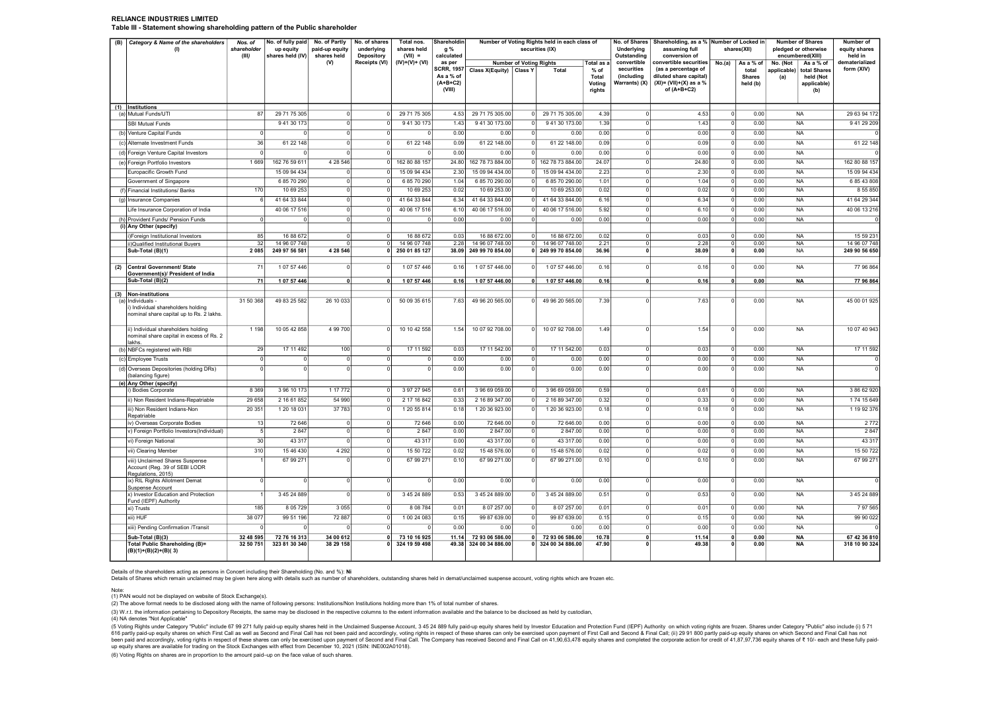#### RELIANCE INDUSTRIES LIMITED Table III - Statement showing shareholding pattern of the Public shareholder

| (B) | Category & Name of the shareholders<br>(1)                                                          | Nos. of<br>shareholder<br>(III) | No. of fully paid<br>up equity<br>shares held (IV) | No. of Partly<br>paid-up equity<br>shares held | No. of shares<br>underlying<br>Depository | Total nos.<br>shares held<br>$(VII) =$ | <b>Shareholdin</b><br>g %<br>calculated         | Number of Voting Rights held in each class of<br>securities (IX) |                                | Underlying<br>Outstanding        | No. of Shares   Shareholding, as a %   Number of Locked in<br>assuming full<br>conversion of |                                           | shares(XII)                                                                                 | <b>Number of Shares</b><br>pledged or otherwise<br>encumbered(XIII) | Number of<br>equity shares<br>held in |                                                                       |                           |
|-----|-----------------------------------------------------------------------------------------------------|---------------------------------|----------------------------------------------------|------------------------------------------------|-------------------------------------------|----------------------------------------|-------------------------------------------------|------------------------------------------------------------------|--------------------------------|----------------------------------|----------------------------------------------------------------------------------------------|-------------------------------------------|---------------------------------------------------------------------------------------------|---------------------------------------------------------------------|---------------------------------------|-----------------------------------------------------------------------|---------------------------|
|     |                                                                                                     |                                 |                                                    | (V)                                            | Receipts (VI)                             | $(IV)+(V)+(VI)$                        | as per                                          |                                                                  | <b>Number of Voting Rights</b> |                                  | Total as a                                                                                   | convertible                               | convertible securities                                                                      | No.(a)                                                              | As a % of                             | No. (Not<br>As a % of                                                 | dematerialized            |
|     |                                                                                                     |                                 |                                                    |                                                |                                           |                                        | SCRR, 1957<br>As a % of<br>$(A+B+C2)$<br>(VIII) | Class X(Equity) Class Y                                          |                                | Total                            | $%$ of<br>Total<br>Voting<br>rights                                                          | securities<br>(including<br>Warrants) (X) | (as a percentage of<br>diluted share capital)<br>$(XI) = (VII)+(X)$ as a %<br>of $(A+B+C2)$ |                                                                     | total<br><b>Shares</b><br>held (b)    | applicable)<br>total Shares<br>(a)<br>held (Not<br>applicable)<br>(b) | form (XIV)                |
|     | (1) Institutions                                                                                    |                                 |                                                    |                                                |                                           |                                        |                                                 |                                                                  |                                |                                  |                                                                                              |                                           |                                                                                             |                                                                     |                                       |                                                                       |                           |
|     | (a) Mutual Funds/UTI                                                                                | 87                              | 29 71 75 305                                       | $^{\circ}$                                     |                                           | 29 71 75 305                           | 4.53                                            | 29 71 75 305.00                                                  |                                | 29 71 75 305.00                  | 4.39                                                                                         |                                           | 4.53                                                                                        | $\overline{0}$                                                      | 0.00                                  | <b>NA</b>                                                             | 29 63 94 172              |
|     | <b>SBI Mutual Funds</b>                                                                             |                                 | 9 41 30 173                                        | $\Omega$                                       |                                           | 9 41 30 173                            | 1.43                                            | 9 41 30 173,00                                                   |                                | 9 41 30 173.00                   | 1.39                                                                                         | $\Omega$                                  | 1.43                                                                                        | $\overline{0}$                                                      | 0.00                                  | <b>NA</b>                                                             | 9 41 29 209               |
|     | (b) Venture Capital Funds                                                                           | $\Omega$                        |                                                    | $\overline{0}$                                 |                                           |                                        | 0.00                                            | 0.00                                                             |                                | 0.00                             | 0.00                                                                                         | $\Omega$                                  | 0.00                                                                                        | $\overline{\circ}$                                                  | 0.00                                  | <b>NA</b>                                                             |                           |
|     | (c) Alternate Investment Funds                                                                      | 36                              | 61 22 148                                          | $^{\circ}$                                     |                                           | 61 22 148                              | 0.09                                            | 61 22 148.00                                                     |                                | 61 22 148.00                     | 0.09                                                                                         | $\Omega$                                  | 0.09                                                                                        | $\overline{\circ}$                                                  | 0.00                                  | <b>NA</b>                                                             | 61 22 148                 |
|     | (d) Foreign Venture Capital Investors                                                               | $\Omega$                        |                                                    |                                                |                                           |                                        | 0.00                                            | 0.00                                                             |                                | 0.00                             | 0.00                                                                                         | $\Omega$                                  | 0.00                                                                                        | $\circ$                                                             | 0.00                                  | <b>NA</b>                                                             |                           |
|     | (e) Foreign Portfolio Investors                                                                     | 1 6 6 9                         | 162 76 59 61                                       | 4 28 546                                       |                                           | 162 80 88 157                          | 24.80                                           | 162 78 73 884.00                                                 |                                | 162 78 73 884.00                 | 24.07                                                                                        | $\Omega$                                  | 24.80                                                                                       | 0                                                                   | 0.00                                  | <b>NA</b>                                                             | 162 80 88 157             |
|     | Europacific Growth Fund                                                                             |                                 | 15 09 94 434                                       | $^{\circ}$                                     | $\Omega$                                  | 15 09 94 434                           | 2.30                                            | 15 09 94 434.00                                                  | $\Omega$                       | 15 09 94 434.00                  | 2.23                                                                                         | $\circ$                                   | 2.30                                                                                        | 0                                                                   | 0.00                                  | <b>NA</b>                                                             | 15 09 94 434              |
|     | Government of Singapore                                                                             |                                 | 6 85 70 290                                        | $^{\circ}$                                     |                                           | 6 85 70 290                            | 1.04                                            | 6 85 70 290.00                                                   |                                | 6 85 70 290.00                   | 1.01                                                                                         | $\Omega$                                  | 1.04                                                                                        | $\overline{0}$                                                      | 0.00                                  | <b>NA</b>                                                             | 6 85 43 808               |
|     | (f) Financial Institutions/ Banks                                                                   | 170                             | 10 69 25                                           | $\mathbf 0$                                    |                                           | 10 69 253                              | 0.02                                            | 10 69 253.00                                                     |                                | 10 69 253.00                     | 0.02                                                                                         | $\Omega$                                  | 0.02                                                                                        | $\mathbf 0$                                                         | 0.00                                  | <b>NA</b>                                                             | 8 55 8 50                 |
|     | (g) Insurance Companies                                                                             | -6                              | 41 64 33 844                                       | 0                                              | $\Omega$                                  | 41 64 33 844                           | 6.34                                            | 41 64 33 844.00                                                  | $\Omega$                       | 41 64 33 844.00                  | 6.16                                                                                         | $\mathbf{0}$                              | 6.34                                                                                        | $\circ$                                                             | 0.00                                  | <b>NA</b>                                                             | 41 64 29 344              |
|     | Life Insurance Corporation of India                                                                 |                                 | 40 06 17 516                                       | $\Omega$                                       | $\Omega$                                  | 40 06 17 516                           | 6.10                                            | 40 06 17 516.00                                                  | <sup>0</sup>                   | 40 06 17 516.00                  | 5.92                                                                                         | $\Omega$                                  | 6.10                                                                                        | 0                                                                   | 0.00                                  | <b>NA</b>                                                             | 40 06 13 216              |
|     | (h) Provident Funds/ Pension Funds                                                                  | $\Omega$                        |                                                    | $\overline{0}$                                 | $\Omega$                                  |                                        | 0.00                                            | 0.00                                                             | $\circ$                        | 0.00                             | 0.00                                                                                         | $\circ$                                   | 0.00                                                                                        | $\overline{0}$                                                      | 0.00                                  | <b>NA</b>                                                             |                           |
|     | (i) Any Other (specify)                                                                             |                                 |                                                    | $\Omega$                                       | $\Omega$                                  |                                        |                                                 |                                                                  | $\Omega$                       |                                  |                                                                                              | $\Omega$                                  |                                                                                             |                                                                     |                                       |                                                                       |                           |
|     | i)Foreign Institutional Investors<br>ii)Qualified Institutional Buyers                              | 85<br>32                        | 16 88 672<br>14 96 07 748                          | $\Omega$                                       | $\overline{0}$                            | 16 88 672<br>14 96 07 748              | 0.03<br>2.28                                    | 16 88 672.00<br>14 96 07 748.00                                  | $\overline{0}$                 | 16 88 672.00<br>14 96 07 748.00  | 0.02<br>2.21                                                                                 | $\circ$                                   | 0.03<br>2.28                                                                                | 0 <br>$\overline{0}$                                                | 0.00<br>0.00                          | <b>NA</b><br><b>NA</b>                                                | 15 59 23<br>14 96 07 748  |
|     | Sub-Total (B)(1)                                                                                    | 2 0 8 5                         | 249 97 56 581                                      | 4 28 5 46                                      | $\Omega$                                  | 250 01 85 127                          | 38.09                                           | 249 99 70 854.00                                                 |                                | 0 249 99 70 854.00               | 36.96                                                                                        | $\mathbf{0}$                              | 38.09                                                                                       | $\overline{\mathbf{0}}$                                             | 0.00                                  | <b>NA</b>                                                             | 249 90 56 650             |
|     |                                                                                                     |                                 |                                                    |                                                |                                           |                                        |                                                 |                                                                  |                                |                                  |                                                                                              |                                           |                                                                                             |                                                                     |                                       |                                                                       |                           |
| (2) | <b>Central Government/ State</b><br>Government(s)/ President of India                               | 71                              | 1 07 57 446                                        | $\Omega$                                       |                                           | 107 57 446                             | 0.16                                            | 107 57 446.00                                                    | <sup>0</sup>                   | 1 07 57 446.00                   | 0.16                                                                                         | $\Omega$                                  | 0.16                                                                                        | $^{\circ}$                                                          | 0.00                                  | <b>NA</b>                                                             | 77 96 864                 |
|     | Sub-Total (B)(2)                                                                                    | 71                              | 1 07 57 446                                        | $\mathbf{0}$                                   | $\mathbf{0}$                              | 1 07 57 446                            | 0.16                                            | 1 07 57 446.00                                                   | $\Omega$                       | 1 07 57 446.00                   | 0.16                                                                                         | $\mathbf{0}$                              | 0.16                                                                                        | $\mathbf{0}$                                                        | 0.00                                  | <b>NA</b>                                                             | 77 96 864                 |
|     | (3) Non-institutions                                                                                |                                 |                                                    |                                                |                                           |                                        |                                                 |                                                                  |                                |                                  |                                                                                              |                                           |                                                                                             |                                                                     |                                       |                                                                       |                           |
|     | (a) Individuals -<br>i) Individual shareholders holding<br>nominal share capital up to Rs. 2 lakhs. | 31 50 368                       | 49 83 25 582                                       | 26 10 033                                      | $\Omega$                                  | 50 09 35 615                           | 7.63                                            | 49 96 20 565.00                                                  | $\Omega$                       | 49 96 20 565.00                  | 7.39                                                                                         | $\Omega$                                  | 7.63                                                                                        | $\overline{0}$                                                      | 0.00                                  | <b>NA</b>                                                             | 45 00 01 925              |
|     | ii) Individual shareholders holding<br>nominal share capital in excess of Rs. 2<br>lakhs            | 1 1 9 8                         | 10 05 42 858                                       | 4 99 700                                       | $\Omega$                                  | 10 10 42 558                           | 1.54                                            | 10 07 92 708.00                                                  | $\Omega$                       | 10 07 92 708.00                  | 1.49                                                                                         | $\Omega$                                  | 1.54                                                                                        | $\Omega$                                                            | 0.00                                  | <b>NA</b>                                                             | 10 07 40 943              |
|     | (b) NBFCs registered with RBI                                                                       | 29                              | 17 11 492                                          | 100                                            |                                           | 17 11 592                              | 0.03                                            | 17 11 542.00                                                     |                                | 17 11 542.00                     | 0.03                                                                                         | $\Omega$                                  | 0.03                                                                                        | $^{\circ}$                                                          | 0.00                                  | <b>NA</b>                                                             | 17 11 592                 |
|     | (c) Employee Trusts                                                                                 | $\Omega$                        |                                                    | 0                                              | $\Omega$                                  |                                        | 0.00                                            | 0.00                                                             |                                | 0.00                             | 0.00                                                                                         | $\Omega$                                  | 0.00                                                                                        | 0                                                                   | 0.00                                  | <b>NA</b>                                                             |                           |
|     | (d) Overseas Depositories (holding DRs)<br>(balancing figure)                                       | $\Omega$                        |                                                    | $\Omega$                                       |                                           |                                        | 0.00                                            | 0.00                                                             |                                | 0.00                             | 0.00                                                                                         | $\Omega$                                  | 0.00                                                                                        | $\Omega$                                                            | 0.00                                  | <b>NA</b>                                                             |                           |
|     | (e) Any Other (specify)                                                                             | 8 3 6 9                         | 3 96 10 173                                        | 1 17 772                                       |                                           | 3 97 27 945                            | 0.61                                            | 3 96 69 059.00                                                   |                                | 3 96 69 059.00                   | 0.59                                                                                         | $\Omega$                                  | 0.61                                                                                        | $\overline{0}$                                                      | 0.00                                  | <b>NA</b>                                                             | 3 86 62 920               |
|     | ) Bodies Corporate                                                                                  |                                 |                                                    |                                                |                                           |                                        |                                                 |                                                                  |                                |                                  |                                                                                              | $\Omega$                                  |                                                                                             |                                                                     |                                       |                                                                       |                           |
|     | ii) Non Resident Indians-Repatriable<br>iii) Non Resident Indians-Non                               | 29 658<br>20 351                | 2 16 61 852<br>1 20 18 031                         | 54 990<br>37 783                               |                                           | 2 17 16 842<br>1 20 55 814             | 0.33<br>0.18                                    | 2 16 89 347.00<br>1 20 36 923.00                                 |                                | 2 16 89 347.00<br>1 20 36 923.00 | 0.32<br>0.18                                                                                 | $\Omega$                                  | 0.33<br>0.18                                                                                | 0 <br>$\overline{0}$                                                | 0.00<br>0.00                          | <b>NA</b><br><b>NA</b>                                                | 174 15 649<br>1 19 92 376 |
|     | Repatriable                                                                                         |                                 |                                                    |                                                |                                           |                                        |                                                 |                                                                  |                                |                                  |                                                                                              |                                           |                                                                                             |                                                                     |                                       |                                                                       |                           |
|     | iv) Overseas Corporate Bodies                                                                       | 13                              | 72 646                                             | $\mathsf 0$                                    | 0                                         | 72 646                                 | 0.00                                            | 72 646.00                                                        | 0                              | 72 646.00                        | 0.00                                                                                         | $\mathbf{0}$                              | 0.00                                                                                        | 0                                                                   | 0.00                                  | <b>NA</b>                                                             | 2772                      |
|     | v) Foreign Portfolio Investors(Individual)                                                          | -5                              | 2 84                                               | $\Omega$                                       | $\Omega$                                  | 2 8 4 7                                | 0.00                                            | 2 847.00                                                         | $\Omega$                       | 2 847.00                         | 0.00                                                                                         | $\Omega$                                  | 0.00                                                                                        | $\mathbf 0$                                                         | 0.00                                  | <b>NA</b>                                                             | 2 8 4 7                   |
|     | vi) Foreign National                                                                                | 30                              | 43 317                                             | $\mathbf 0$                                    | 0                                         | 43 317                                 | 0.00                                            | 43 317.00                                                        | $\Omega$                       | 43 317.00                        | 0.00                                                                                         | $\mathbf{0}$                              | 0.00                                                                                        | 0                                                                   | 0.00                                  | <b>NA</b>                                                             | 43 317                    |
|     | vii) Clearing Member                                                                                | 310                             | 15 46 430                                          | 4 2 9 2                                        | $\Omega$                                  | 15 50 722                              | 0.02                                            | 15 48 576.00                                                     |                                | 15 48 576.00                     | 0.02                                                                                         | 0                                         | 0.02                                                                                        | $\mathbf 0$                                                         | 0.00                                  | <b>NA</b>                                                             | 15 50 722                 |
|     | viii) Unclaimed Shares Suspense<br>Account (Reg. 39 of SEBI LODR<br>Regulations, 2015)              |                                 | 67 99 27                                           | $\Omega$                                       | $\Omega$                                  | 67 99 271                              | 0.10                                            | 67 99 271.00                                                     | $\Omega$                       | 67 99 271.00                     | 0.10                                                                                         | $\Omega$                                  | 0.10                                                                                        | $\overline{0}$                                                      | 0.00                                  | <b>NA</b>                                                             | 67 99 27                  |
|     | ix) RIL Rights Allotment Demat<br>Suspense Account                                                  | $\overline{0}$                  |                                                    | $\overline{0}$                                 | $\overline{0}$                            |                                        | 0.00                                            | 0.00                                                             | $\overline{0}$                 | 0.00                             | 0.00                                                                                         | $\overline{0}$                            | 0.00                                                                                        | $\overline{0}$                                                      | 0.00                                  | <b>NA</b>                                                             |                           |
|     | x) Investor Education and Protection<br>Fund (IEPF) Authority                                       |                                 | 3 45 24 889                                        | $\Omega$                                       |                                           | 3 45 24 889                            | 0.53                                            | 3 45 24 889.00                                                   |                                | 3 45 24 889.00                   | 0.51                                                                                         | $\Omega$                                  | 0.53                                                                                        | 0                                                                   | 0.00                                  | <b>NA</b>                                                             | 3 45 24 889               |
|     | xi) Trusts                                                                                          | 185                             | 8 05 7 29                                          | 3 0 5 5                                        |                                           | 8 08 7 84                              | 0.01                                            | 8 07 257.00                                                      |                                | 8 07 257.00                      | 0.01                                                                                         | 0                                         | 0.01                                                                                        | $\overline{0}$                                                      | 0.00                                  | <b>NA</b>                                                             | 7 97 565                  |
|     | xii) HUF                                                                                            | 38 077                          | 99 51 196                                          | 72 887                                         |                                           | 100 24 083                             | 0.15                                            | 99 87 639.00                                                     |                                | 99 87 639.00                     | 0.15                                                                                         | $\Omega$                                  | 0.15                                                                                        | 0                                                                   | 0.00                                  | <b>NA</b>                                                             | 99 90 022                 |
|     | xiii) Pending Confirmation /Transit                                                                 |                                 |                                                    |                                                |                                           |                                        | 0.00                                            | 0.00                                                             |                                | 0.00                             | 0.00                                                                                         | $\Omega$                                  | 0.00                                                                                        | 0                                                                   | 0.00                                  | <b>NA</b>                                                             |                           |
|     | Sub-Total (B)(3)                                                                                    | 32 48 595                       | 72 76 16 313                                       | 34 00 612                                      | $\mathbf{0}$<br>n l                       | 73 10 16 925                           | 11.14                                           | 72 93 06 586.00                                                  |                                | 0 72 93 06 586.00                | 10.78                                                                                        | $\mathbf{0}$                              | 11.14                                                                                       | $\overline{0}$<br>$\mathbf{0}$                                      | 0.00                                  | <b>NA</b>                                                             | 67 42 36 810              |
|     | Total Public Shareholding (B)=<br>(B)(1)+(B)(2)+(B)(3)                                              | 32 50 751                       | 323 81 30 340                                      | 38 29 158                                      |                                           | 324 19 59 498                          |                                                 | 49.38 324 00 34 886.00                                           |                                | 0 324 00 34 886.00               | 47.90                                                                                        | $\mathbf{0}$                              | 49.38                                                                                       |                                                                     | 0.00                                  | <b>NA</b>                                                             | 318 10 90 324             |

Details of the shareholders acting as persons in Concert including their Shareholding (No. and %): Ni<br>Details of Shares which remain unclaimed may be given here along with details such as number of shareholders, outstandi

Note: (1) PAN would not be displayed on website of Stock Exchange(s).

(2) The above format needs to be disclosed along with the name of following persons: Institutions/Non Institutions holding more than 1% of total number of shares.

(3) W.r.t. the information pertaining to Depository Receipts, the same may be disclosed in the respective columns to the extent information available and the balance to be disclosed as held by custodian,

(4) NA denotes "Not Applicable"

. Young Rights under Category "Public" include 67 99 271 fully paid-up equity shares held in the Unclaimed Suspense Account. 3 45 24 889 fully paid-up equity shares held by Investor Education and Protection Fund (IEPF) Aut 616 partly paid updub a membed and a second and Final Call has not been paid and accordingly, voting rights in respect of these shares and power based from a second and Final Call. The Company has received Second and Final up equity shares are available for trading on the Stock Exchanges with effect from December 10, 2021 (ISIN: INE002A01018).

(6) Voting Rights on shares are in proportion to the amount paid–up on the face value of such shares.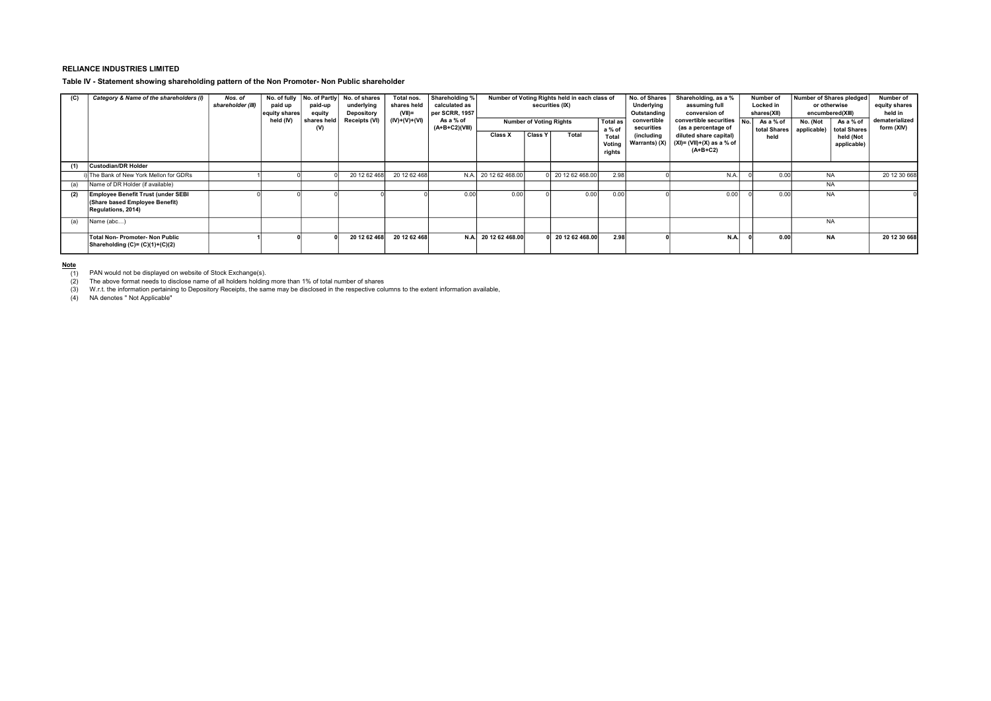### RELIANCE INDUSTRIES LIMITED

Table IV - Statement showing shareholding pattern of the Non Promoter- Non Public shareholder

| (C) | Category & Name of the shareholders (I)                                                    | Nos. of<br>shareholder (III) | paid up<br>equity shares<br>held (IV) | No. of fully No. of Partly<br>paid-up<br>equity<br>shares held<br>(V) | No. of shares<br>underlying<br><b>Depository</b><br>Receipts (VI) | Total nos.<br>shares held<br>$(VII)$ =<br>$(IV)+(V)+(VI)$ | Shareholding %<br>calculated as<br>per SCRR, 1957<br>As a % of<br>$(A+B+C2)(VIII)$ | Number of Voting Rights held in each class of<br>securities (IX)<br><b>Total as</b><br><b>Number of Voting Rights</b><br>a % of |                | No. of Shares<br>Underlying<br>Outstanding<br>convertible<br>securities | Shareholding, as a %<br>assuming full<br>conversion of<br>convertible securities $N_0$ .<br>(as a percentage of | Number of<br>Locked in<br>shares(XII)<br>As a % of<br>total Shares | Number of Shares pledged<br>or otherwise<br>encumbered(XIII)<br>No. (Not<br>applicable) | As a % of<br>total Shares | Number of<br>equity shares<br>held in<br>dematerialized<br>form (XIV) |                          |              |
|-----|--------------------------------------------------------------------------------------------|------------------------------|---------------------------------------|-----------------------------------------------------------------------|-------------------------------------------------------------------|-----------------------------------------------------------|------------------------------------------------------------------------------------|---------------------------------------------------------------------------------------------------------------------------------|----------------|-------------------------------------------------------------------------|-----------------------------------------------------------------------------------------------------------------|--------------------------------------------------------------------|-----------------------------------------------------------------------------------------|---------------------------|-----------------------------------------------------------------------|--------------------------|--------------|
|     |                                                                                            |                              |                                       |                                                                       |                                                                   |                                                           |                                                                                    | Class X                                                                                                                         | <b>Class Y</b> | Total                                                                   | Total<br>Voting<br>rights                                                                                       | (including<br>Warrants) (X)                                        | diluted share capital)<br>$(XI) = (VII)+(X)$ as a % of<br>$(A+B+C2)$                    | held                      |                                                                       | held (Not<br>applicable) |              |
| (1) | <b>Custodian/DR Holder</b>                                                                 |                              |                                       |                                                                       |                                                                   |                                                           |                                                                                    |                                                                                                                                 |                |                                                                         |                                                                                                                 |                                                                    |                                                                                         |                           |                                                                       |                          |              |
|     | i) The Bank of New York Mellon for GDRs                                                    |                              |                                       |                                                                       | 20 12 62 468                                                      | 20 12 62 468                                              | N.A.                                                                               | 20 12 62 468.00                                                                                                                 |                | 1 20 12 62 468.00                                                       | 2.98                                                                                                            |                                                                    | N.A.                                                                                    | 0.00                      | <b>NA</b>                                                             |                          | 20 12 30 668 |
| (a) | Name of DR Holder (if available)                                                           |                              |                                       |                                                                       |                                                                   |                                                           |                                                                                    |                                                                                                                                 |                |                                                                         |                                                                                                                 |                                                                    |                                                                                         |                           | <b>NA</b>                                                             |                          |              |
| (2) | Employee Benefit Trust (under SEBI<br>(Share based Employee Benefit)<br>Regulations, 2014) |                              |                                       |                                                                       |                                                                   |                                                           | 0.00                                                                               | 0.00                                                                                                                            |                | 0.00                                                                    | 0.00                                                                                                            |                                                                    | 0.00                                                                                    | 0.00                      | <b>NA</b>                                                             |                          |              |
| (a) | Name (abc)                                                                                 |                              |                                       |                                                                       |                                                                   |                                                           |                                                                                    |                                                                                                                                 |                |                                                                         |                                                                                                                 |                                                                    |                                                                                         |                           | <b>NA</b>                                                             |                          |              |
|     | Total Non- Promoter- Non Public<br>Shareholding $(C)=(C)(1)+(C)(2)$                        |                              |                                       |                                                                       | 20 12 62 468                                                      | 20 12 62 468                                              | N.A.                                                                               | 20 12 62 468.00                                                                                                                 |                | 0 20 12 62 468.00                                                       | 2.98                                                                                                            |                                                                    | N.A.                                                                                    | 0.00                      | <b>NA</b>                                                             |                          | 20 12 30 668 |

<u>Note</u><br>— (1) PAN would not be displayed on website of Stock Exchange(s).<br>— (2) Phe above format needs to disclose name of all holders holding more than 1% of total number of shares

(1) PAN would not be displayed on website of Stock Exchange(s).<br>(2) The above format needs to disclose name of all holders holding more than 1% of total number of shares<br>(3) W.r.t. the information pertaining to Deposito

(4) NA denotes " Not Applicable"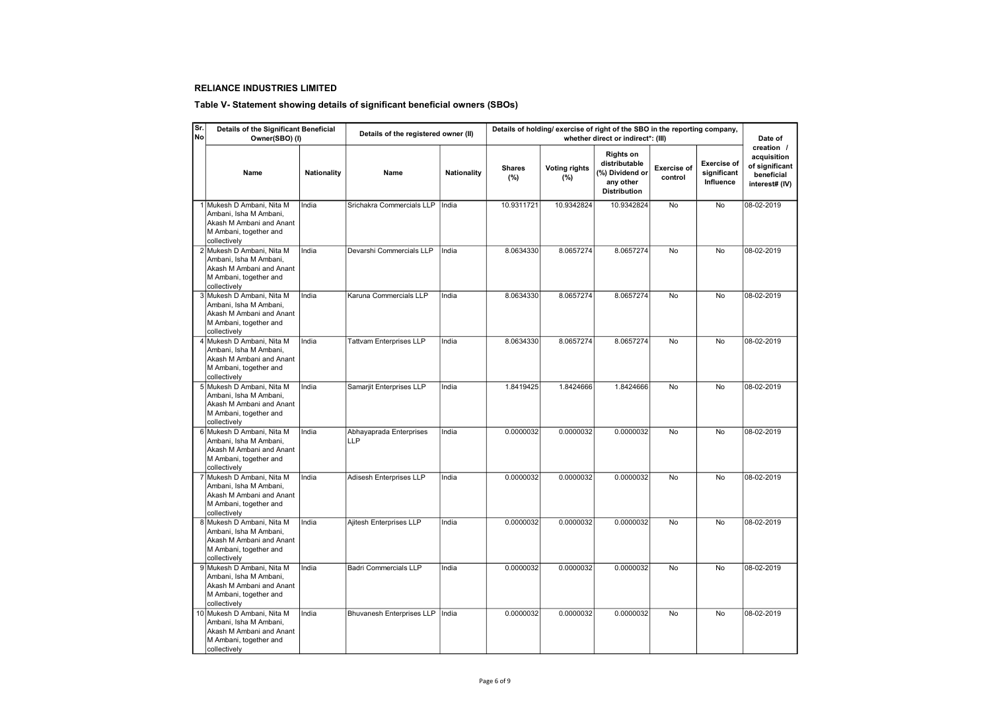## RELIANCE INDUSTRIES LIMITED

## Table V- Statement showing details of significant beneficial owners (SBOs)

| ۱Sr.<br>No | Details of the Significant Beneficial<br>Owner(SBO) (I)                                                                    |                    | Details of holding/ exercise of right of the SBO in the reporting company,<br>Details of the registered owner (II)<br>whether direct or indirect*: (III) |             |                      |                             |                                                                                   |                               |                                                |                                                                             |  |  |
|------------|----------------------------------------------------------------------------------------------------------------------------|--------------------|----------------------------------------------------------------------------------------------------------------------------------------------------------|-------------|----------------------|-----------------------------|-----------------------------------------------------------------------------------|-------------------------------|------------------------------------------------|-----------------------------------------------------------------------------|--|--|
|            | Name                                                                                                                       | <b>Nationality</b> | Name                                                                                                                                                     | Nationality | <b>Shares</b><br>(%) | <b>Voting rights</b><br>(%) | Rights on<br>distributable<br>(%) Dividend or<br>any other<br><b>Distribution</b> | <b>Exercise of</b><br>control | <b>Exercise of</b><br>significant<br>Influence | creation /<br>acquisition<br>of significant<br>beneficial<br>interest# (IV) |  |  |
|            | 1 Mukesh D Ambani, Nita M<br>Ambani, Isha M Ambani,<br>Akash M Ambani and Anant<br>M Ambani, together and<br>collectively  | India              | Srichakra Commercials LLP                                                                                                                                | India       | 10.9311721           | 10.9342824                  | 10.9342824                                                                        | No                            | No                                             | 08-02-2019                                                                  |  |  |
|            | 2 Mukesh D Ambani, Nita M<br>Ambani, Isha M Ambani,<br>Akash M Ambani and Anant<br>M Ambani, together and<br>collectively  | India              | Devarshi Commercials LLP                                                                                                                                 | India       | 8.0634330            | 8.0657274                   | 8.0657274                                                                         | No                            | No                                             | 08-02-2019                                                                  |  |  |
|            | 3 Mukesh D Ambani, Nita M<br>Ambani, Isha M Ambani,<br>Akash M Ambani and Anant<br>M Ambani, together and<br>collectively  | India              | Karuna Commercials LLP                                                                                                                                   | India       | 8.0634330            | 8.0657274                   | 8.0657274                                                                         | No                            | <b>No</b>                                      | 08-02-2019                                                                  |  |  |
|            | Mukesh D Ambani, Nita M<br>Ambani, Isha M Ambani,<br>Akash M Ambani and Anant<br>M Ambani, together and<br>collectively    | India              | <b>Tattvam Enterprises LLP</b>                                                                                                                           | India       | 8.0634330            | 8.0657274                   | 8.0657274                                                                         | No                            | No                                             | 08-02-2019                                                                  |  |  |
|            | 5 Mukesh D Ambani, Nita M<br>Ambani. Isha M Ambani.<br>Akash M Ambani and Anant<br>M Ambani, together and<br>collectively  | India              | Samarjit Enterprises LLP                                                                                                                                 | India       | 1.8419425            | 1.8424666                   | 1.8424666                                                                         | No                            | No                                             | 08-02-2019                                                                  |  |  |
|            | 6 Mukesh D Ambani, Nita M<br>Ambani, Isha M Ambani,<br>Akash M Ambani and Anant<br>M Ambani, together and<br>collectively  | India              | Abhayaprada Enterprises<br><b>LLP</b>                                                                                                                    | India       | 0.0000032            | 0.0000032                   | 0.0000032                                                                         | No                            | No                                             | 08-02-2019                                                                  |  |  |
|            | Mukesh D Ambani, Nita M<br>Ambani, Isha M Ambani,<br>Akash M Ambani and Anant<br>M Ambani, together and<br>collectively    | India              | Adisesh Enterprises LLP                                                                                                                                  | India       | 0.0000032            | 0.0000032                   | 0.0000032                                                                         | No                            | No                                             | 08-02-2019                                                                  |  |  |
|            | 8 Mukesh D Ambani, Nita M<br>Ambani, Isha M Ambani,<br>Akash M Ambani and Anant<br>M Ambani, together and<br>collectively  | India              | Ajitesh Enterprises LLP                                                                                                                                  | India       | 0.0000032            | 0.0000032                   | 0.0000032                                                                         | <b>No</b>                     | <b>No</b>                                      | 08-02-2019                                                                  |  |  |
|            | 9 Mukesh D Ambani, Nita M<br>Ambani, Isha M Ambani,<br>Akash M Ambani and Anant<br>M Ambani, together and<br>collectively  | India              | <b>Badri Commercials LLP</b>                                                                                                                             | India       | 0.0000032            | 0.0000032                   | 0.0000032                                                                         | No                            | No                                             | 08-02-2019                                                                  |  |  |
|            | 10 Mukesh D Ambani, Nita M<br>Ambani, Isha M Ambani,<br>Akash M Ambani and Anant<br>M Ambani, together and<br>collectively | India              | <b>Bhuvanesh Enterprises LLP</b>                                                                                                                         | India       | 0.0000032            | 0.0000032                   | 0.0000032                                                                         | No                            | No                                             | 08-02-2019                                                                  |  |  |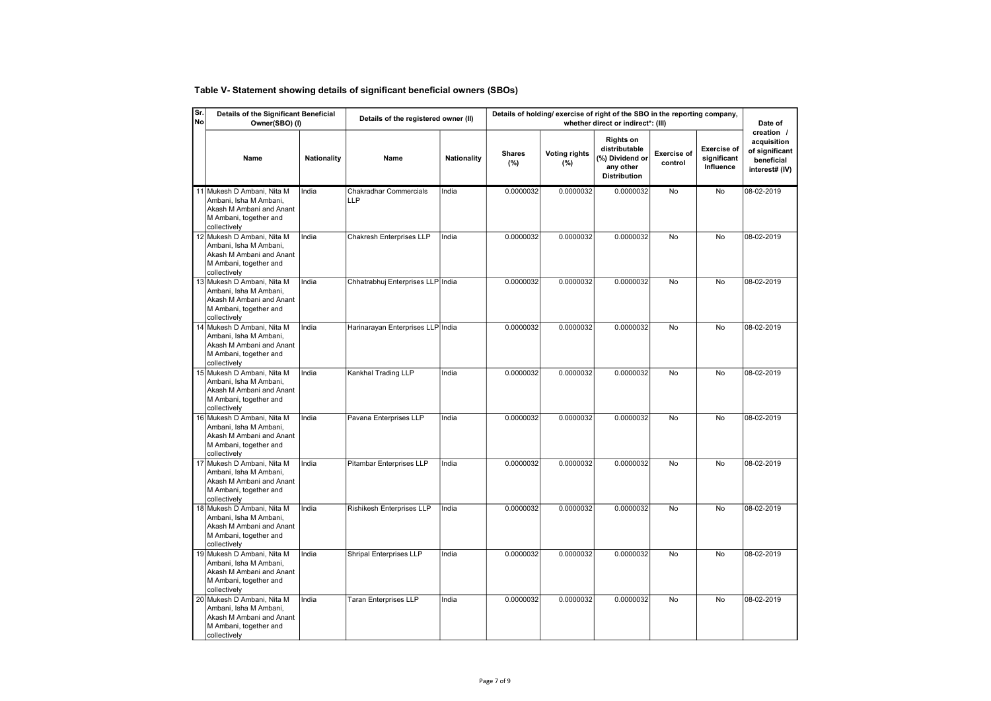# Table V- Statement showing details of significant beneficial owners (SBOs)

| Sr.<br>No | Details of the Significant Beneficial<br>Owner(SBO) (I)                                                                    |             | Details of the registered owner (II) |             | Details of holding/ exercise of right of the SBO in the reporting company, |                             | Date of                                                                                  |                               |                                                |                                                                             |
|-----------|----------------------------------------------------------------------------------------------------------------------------|-------------|--------------------------------------|-------------|----------------------------------------------------------------------------|-----------------------------|------------------------------------------------------------------------------------------|-------------------------------|------------------------------------------------|-----------------------------------------------------------------------------|
|           | Name                                                                                                                       | Nationality | Name                                 | Nationality | <b>Shares</b><br>(%)                                                       | <b>Voting rights</b><br>(%) | <b>Rights on</b><br>distributable<br>(%) Dividend or<br>any other<br><b>Distribution</b> | <b>Exercise of</b><br>control | <b>Exercise of</b><br>significant<br>Influence | creation /<br>acquisition<br>of significant<br>beneficial<br>interest# (IV) |
|           | 11 Mukesh D Ambani, Nita M<br>Ambani, Isha M Ambani,<br>Akash M Ambani and Anant<br>M Ambani, together and<br>collectively | India       | Chakradhar Commercials<br>LLP        | India       | 0.0000032                                                                  | 0.0000032                   | 0.0000032                                                                                | <b>No</b>                     | No                                             | 08-02-2019                                                                  |
|           | 12 Mukesh D Ambani, Nita M<br>Ambani, Isha M Ambani,<br>Akash M Ambani and Anant<br>M Ambani, together and<br>collectively | India       | <b>Chakresh Enterprises LLP</b>      | India       | 0.0000032                                                                  | 0.0000032                   | 0.0000032                                                                                | <b>No</b>                     | No                                             | 08-02-2019                                                                  |
|           | 13 Mukesh D Ambani, Nita M<br>Ambani, Isha M Ambani,<br>Akash M Ambani and Anant<br>M Ambani, together and<br>collectively | India       | Chhatrabhuj Enterprises LLP India    |             | 0.0000032                                                                  | 0.0000032                   | 0.0000032                                                                                | No                            | No                                             | 08-02-2019                                                                  |
|           | 14 Mukesh D Ambani, Nita M<br>Ambani, Isha M Ambani,<br>Akash M Ambani and Anant<br>M Ambani, together and<br>collectively | India       | Harinarayan Enterprises LLP India    |             | 0.0000032                                                                  | 0.0000032                   | 0.0000032                                                                                | <b>No</b>                     | <b>No</b>                                      | 08-02-2019                                                                  |
|           | 15 Mukesh D Ambani, Nita M<br>Ambani, Isha M Ambani,<br>Akash M Ambani and Anant<br>M Ambani, together and<br>collectively | India       | Kankhal Trading LLP                  | India       | 0.0000032                                                                  | 0.0000032                   | 0.0000032                                                                                | No                            | No                                             | 08-02-2019                                                                  |
|           | 16 Mukesh D Ambani, Nita M<br>Ambani, Isha M Ambani,<br>Akash M Ambani and Anant<br>M Ambani, together and<br>collectively | India       | Pavana Enterprises LLP               | India       | 0.0000032                                                                  | 0.0000032                   | 0.0000032                                                                                | No                            | No                                             | 08-02-2019                                                                  |
|           | 17 Mukesh D Ambani, Nita M<br>Ambani, Isha M Ambani,<br>Akash M Ambani and Anant<br>M Ambani, together and<br>collectively | India       | Pitambar Enterprises LLP             | India       | 0.0000032                                                                  | 0.0000032                   | 0.0000032                                                                                | <b>No</b>                     | No                                             | 08-02-2019                                                                  |
|           | 18 Mukesh D Ambani, Nita M<br>Ambani, Isha M Ambani,<br>Akash M Ambani and Anant<br>M Ambani, together and<br>collectively | India       | Rishikesh Enterprises LLP            | India       | 0.0000032                                                                  | 0.0000032                   | 0.0000032                                                                                | No                            | No                                             | 08-02-2019                                                                  |
|           | 19 Mukesh D Ambani, Nita M<br>Ambani, Isha M Ambani,<br>Akash M Ambani and Anant<br>M Ambani, together and<br>collectively | India       | Shripal Enterprises LLP              | India       | 0.0000032                                                                  | 0.0000032                   | 0.0000032                                                                                | No                            | No                                             | 08-02-2019                                                                  |
|           | 20 Mukesh D Ambani, Nita M<br>Ambani, Isha M Ambani,<br>Akash M Ambani and Anant<br>M Ambani, together and<br>collectively | India       | <b>Taran Enterprises LLP</b>         | India       | 0.0000032                                                                  | 0.0000032                   | 0.0000032                                                                                | No                            | No                                             | 08-02-2019                                                                  |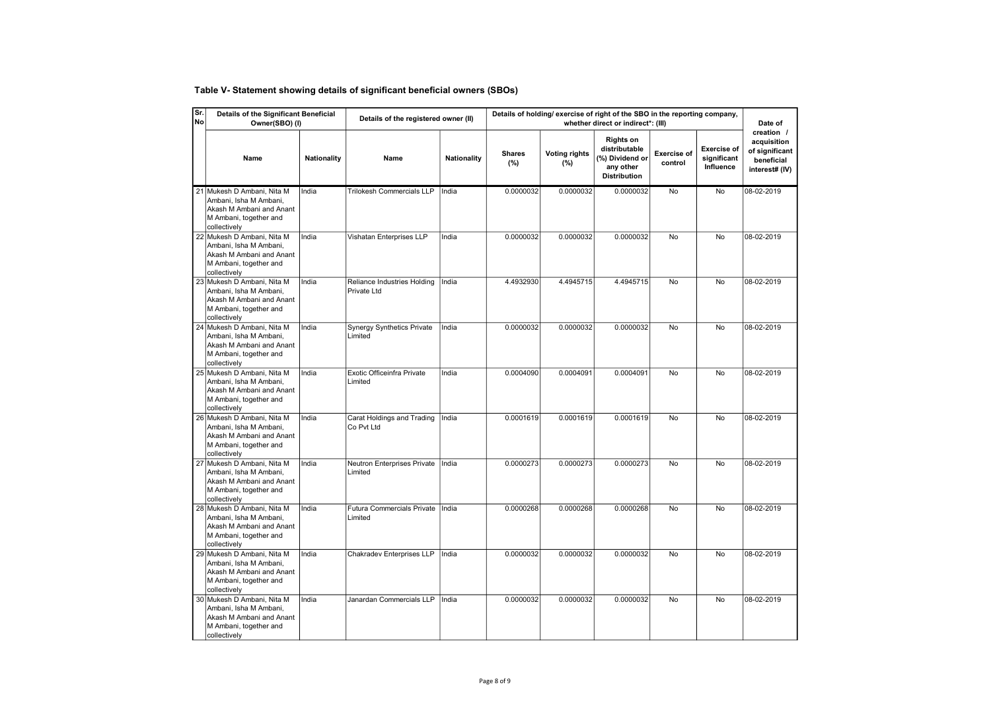# Table V- Statement showing details of significant beneficial owners (SBOs)

| Sr.<br> No | Details of the Significant Beneficial<br>Owner(SBO) (I)                                                                    |                    | Details of the registered owner (II)         |                    | Details of holding/ exercise of right of the SBO in the reporting company, | Date of                     |                                                                                          |                               |                                                |                                                                             |
|------------|----------------------------------------------------------------------------------------------------------------------------|--------------------|----------------------------------------------|--------------------|----------------------------------------------------------------------------|-----------------------------|------------------------------------------------------------------------------------------|-------------------------------|------------------------------------------------|-----------------------------------------------------------------------------|
|            | Name                                                                                                                       | <b>Nationality</b> | Name                                         | <b>Nationality</b> | <b>Shares</b><br>(%)                                                       | <b>Voting rights</b><br>(%) | <b>Rights on</b><br>distributable<br>(%) Dividend or<br>any other<br><b>Distribution</b> | <b>Exercise of</b><br>control | <b>Exercise of</b><br>significant<br>Influence | creation /<br>acquisition<br>of significant<br>beneficial<br>interest# (IV) |
|            | 21 Mukesh D Ambani, Nita M<br>Ambani, Isha M Ambani,<br>Akash M Ambani and Anant<br>M Ambani, together and<br>collectively | India              | <b>Trilokesh Commercials LLP</b>             | India              | 0.0000032                                                                  | 0.0000032                   | 0.0000032                                                                                | <b>No</b>                     | <b>No</b>                                      | 08-02-2019                                                                  |
|            | 22 Mukesh D Ambani, Nita M<br>Ambani, Isha M Ambani,<br>Akash M Ambani and Anant<br>M Ambani, together and<br>collectively | India              | Vishatan Enterprises LLP                     | India              | 0.0000032                                                                  | 0.0000032                   | 0.0000032                                                                                | No                            | No                                             | 08-02-2019                                                                  |
|            | 23 Mukesh D Ambani, Nita M<br>Ambani, Isha M Ambani,<br>Akash M Ambani and Anant<br>M Ambani, together and<br>collectively | India              | Reliance Industries Holding<br>Private Ltd   | India              | 4.4932930                                                                  | 4.4945715                   | 4.4945715                                                                                | <b>No</b>                     | <b>No</b>                                      | 08-02-2019                                                                  |
|            | 24 Mukesh D Ambani, Nita M<br>Ambani, Isha M Ambani,<br>Akash M Ambani and Anant<br>M Ambani, together and<br>collectively | India              | <b>Synergy Synthetics Private</b><br>Limited | India              | 0.0000032                                                                  | 0.0000032                   | 0.0000032                                                                                | No                            | No                                             | 08-02-2019                                                                  |
|            | 25 Mukesh D Ambani, Nita M<br>Ambani, Isha M Ambani,<br>Akash M Ambani and Anant<br>M Ambani, together and<br>collectively | India              | Exotic Officeinfra Private<br>Limited        | India              | 0.0004090                                                                  | 0.0004091                   | 0.0004091                                                                                | No                            | No                                             | 08-02-2019                                                                  |
|            | 26 Mukesh D Ambani, Nita M<br>Ambani, Isha M Ambani,<br>Akash M Ambani and Anant<br>M Ambani, together and<br>collectively | India              | Carat Holdings and Trading<br>Co Pvt Ltd     | India              | 0.0001619                                                                  | 0.0001619                   | 0.0001619                                                                                | No                            | No                                             | 08-02-2019                                                                  |
|            | 27 Mukesh D Ambani, Nita M<br>Ambani, Isha M Ambani,<br>Akash M Ambani and Anant<br>M Ambani, together and<br>collectively | India              | Neutron Enterprises Private<br>Limited       | India              | 0.0000273                                                                  | 0.0000273                   | 0.0000273                                                                                | No                            | No                                             | 08-02-2019                                                                  |
|            | 28 Mukesh D Ambani, Nita M<br>Ambani, Isha M Ambani.<br>Akash M Ambani and Anant<br>M Ambani, together and<br>collectively | India              | <b>Futura Commercials Private</b><br>Limited | India              | 0.0000268                                                                  | 0.0000268                   | 0.0000268                                                                                | No                            | No                                             | 08-02-2019                                                                  |
|            | 29 Mukesh D Ambani, Nita M<br>Ambani, Isha M Ambani,<br>Akash M Ambani and Anant<br>M Ambani, together and<br>collectively | India              | Chakradev Enterprises LLP                    | India              | 0.0000032                                                                  | 0.0000032                   | 0.0000032                                                                                | No                            | No                                             | 08-02-2019                                                                  |
|            | 30 Mukesh D Ambani, Nita M<br>Ambani, Isha M Ambani,<br>Akash M Ambani and Anant<br>M Ambani, together and<br>collectively | India              | Janardan Commercials LLP                     | India              | 0.0000032                                                                  | 0.0000032                   | 0.0000032                                                                                | No                            | No                                             | 08-02-2019                                                                  |